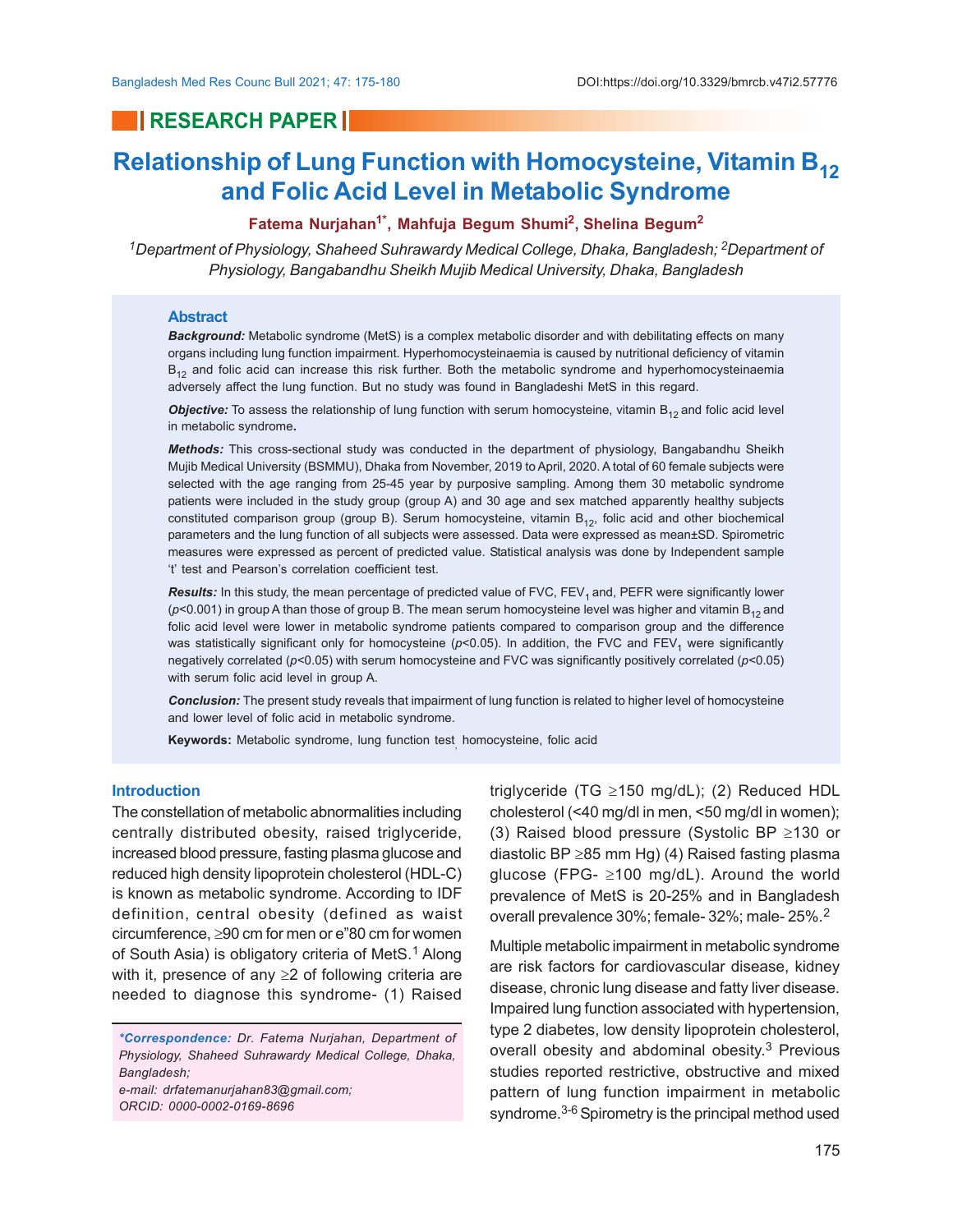## **RESEARCH PAPER**

# **Relationship of Lung Function with Homocysteine, Vitamin B<sup>12</sup> and Folic Acid Level in Metabolic Syndrome**

### **Fatema Nurjahan1\*, Mahfuja Begum Shumi<sup>2</sup> , Shelina Begum<sup>2</sup>**

<sup>1</sup>Department of Physiology, Shaheed Suhrawardy Medical College, Dhaka, Bangladesh; <sup>2</sup>Department of *Physiology, Bangabandhu Sheikh Mujib Medical University, Dhaka, Bangladesh*

#### **Abstract**

*Background:* Metabolic syndrome (MetS) is a complex metabolic disorder and with debilitating effects on many organs including lung function impairment. Hyperhomocysteinaemia is caused by nutritional deficiency of vitamin  $B_{12}$  and folic acid can increase this risk further. Both the metabolic syndrome and hyperhomocysteinaemia adversely affect the lung function. But no study was found in Bangladeshi MetS in this regard.

Objective: To assess the relationship of lung function with serum homocysteine, vitamin B<sub>12</sub> and folic acid level in metabolic syndrome**.**

*Methods:* This cross-sectional study was conducted in the department of physiology, Bangabandhu Sheikh Mujib Medical University (BSMMU), Dhaka from November, 2019 to April, 2020. A total of 60 female subjects were selected with the age ranging from 25-45 year by purposive sampling. Among them 30 metabolic syndrome patients were included in the study group (group A) and 30 age and sex matched apparently healthy subjects constituted comparison group (group B). Serum homocysteine, vitamin  $B_{12}$ , folic acid and other biochemical parameters and the lung function of all subjects were assessed. Data were expressed as mean±SD. Spirometric measures were expressed as percent of predicted value. Statistical analysis was done by Independent sample 't' test and Pearson's correlation coefficient test.

**Results:** In this study, the mean percentage of predicted value of FVC, FEV<sub>1</sub> and, PEFR were significantly lower  $(p<0.001)$  in group A than those of group B. The mean serum homocysteine level was higher and vitamin B<sub>12</sub> and folic acid level were lower in metabolic syndrome patients compared to comparison group and the difference was statistically significant only for homocysteine ( $p$ <0.05). In addition, the FVC and FEV<sub>1</sub> were significantly negatively correlated (*p*<0.05) with serum homocysteine and FVC was significantly positively correlated (*p*<0.05) with serum folic acid level in group A.

*Conclusion:* The present study reveals that impairment of lung function is related to higher level of homocysteine and lower level of folic acid in metabolic syndrome.

**Keywords:** Metabolic syndrome, lung function test , homocysteine, folic acid

#### **Introduction**

The constellation of metabolic abnormalities including centrally distributed obesity, raised triglyceride, increased blood pressure, fasting plasma glucose and reduced high density lipoprotein cholesterol (HDL-C) is known as metabolic syndrome. According to IDF definition, central obesity (defined as waist circumference,  $\geq 90$  cm for men or e"80 cm for women of South Asia) is obligatory criteria of MetS.<sup>1</sup> Along with it, presence of any  $\geq$  2 of following criteria are needed to diagnose this syndrome- (1) Raised

*e-mail: drfatemanurjahan83@gmail.com; ORCID: 0000-0002-0169-8696*

triglyceride (TG  $\geq$ 150 mg/dL); (2) Reduced HDL cholesterol (<40 mg/dl in men, <50 mg/dl in women); (3) Raised blood pressure (Systolic BP  $\geq$ 130 or diastolic BP  $\geq$ 85 mm Hg) (4) Raised fasting plasma glucose (FPG- $\geq$ 100 mg/dL). Around the world prevalence of MetS is 20-25% and in Bangladesh overall prevalence 30%; female- 32%; male- 25%.<sup>2</sup>

Multiple metabolic impairment in metabolic syndrome are risk factors for cardiovascular disease, kidney disease, chronic lung disease and fatty liver disease. Impaired lung function associated with hypertension, type 2 diabetes, low density lipoprotein cholesterol, overall obesity and abdominal obesity.<sup>3</sup> Previous studies reported restrictive, obstructive and mixed pattern of lung function impairment in metabolic syndrome.<sup>3-6</sup> Spirometry is the principal method used

*<sup>\*</sup>Correspondence: Dr. Fatema Nurjahan, Department of Physiology, Shaheed Suhrawardy Medical College, Dhaka, Bangladesh;*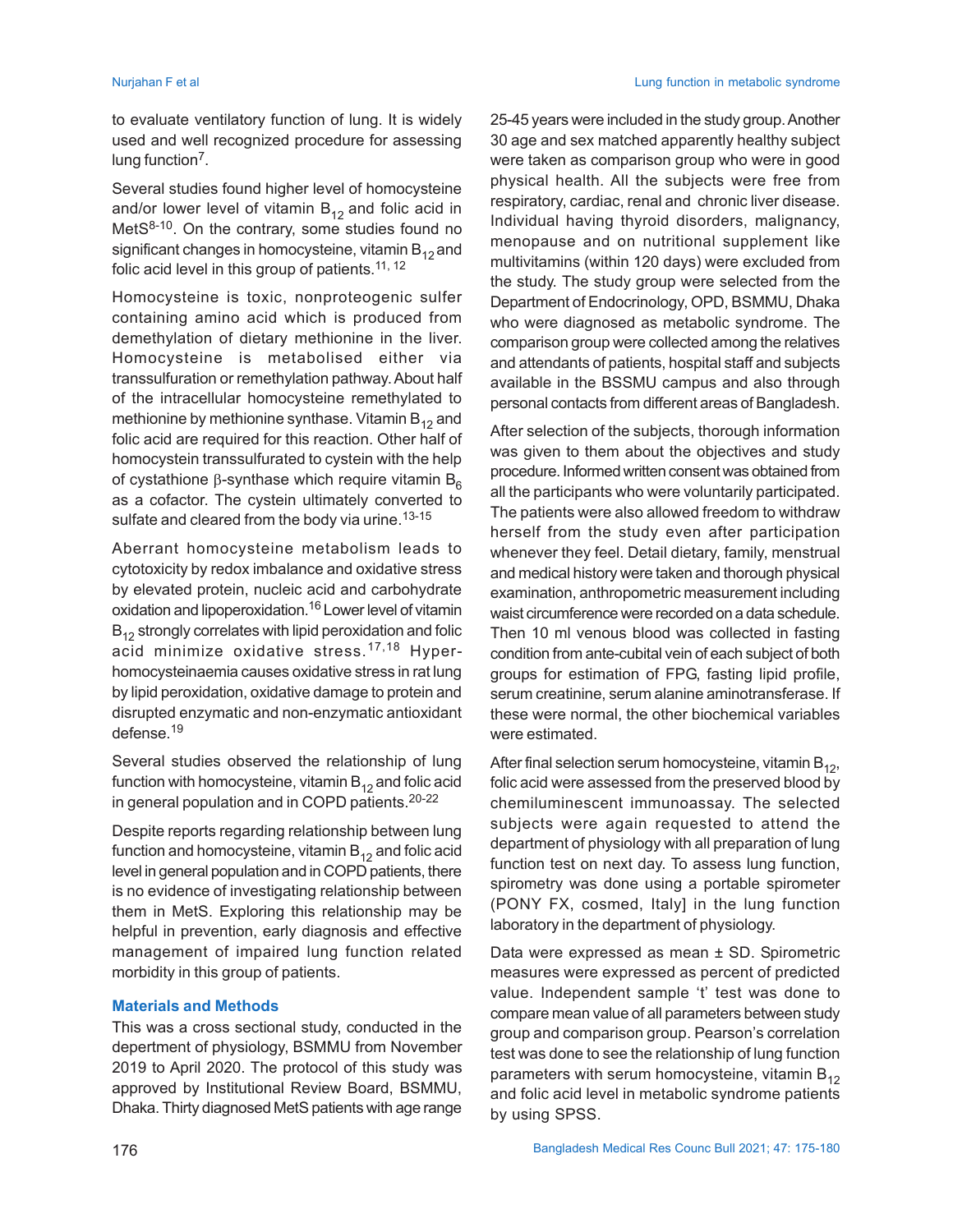to evaluate ventilatory function of lung. It is widely used and well recognized procedure for assessing lung function<sup>7</sup>.

Several studies found higher level of homocysteine and/or lower level of vitamin  $B_{12}$  and folic acid in MetS<sup>8-10</sup>. On the contrary, some studies found no significant changes in homocysteine, vitamin  $B_{12}$  and folic acid level in this group of patients.<sup>11, 12</sup>

Homocysteine is toxic, nonproteogenic sulfer containing amino acid which is produced from demethylation of dietary methionine in the liver. Homocysteine is metabolised either via transsulfuration or remethylation pathway. About half of the intracellular homocysteine remethylated to methionine by methionine synthase. Vitamin  $B_{12}$  and folic acid are required for this reaction. Other half of homocystein transsulfurated to cystein with the help of cystathione  $\beta$ -synthase which require vitamin  $B_6$ as a cofactor. The cystein ultimately converted to sulfate and cleared from the body via urine.<sup>13-15</sup>

Aberrant homocysteine metabolism leads to cytotoxicity by redox imbalance and oxidative stress by elevated protein, nucleic acid and carbohydrate oxidation and lipoperoxidation.<sup>16</sup> Lower level of vitamin  $B_{12}$  strongly correlates with lipid peroxidation and folic acid minimize oxidative stress.<sup>17,18</sup> Hyperhomocysteinaemia causes oxidative stress in rat lung by lipid peroxidation, oxidative damage to protein and disrupted enzymatic and non-enzymatic antioxidant defense.<sup>19</sup>

Several studies observed the relationship of lung function with homocysteine, vitamin  $B_{12}$  and folic acid in general population and in COPD patients.20-22

Despite reports regarding relationship between lung function and homocysteine, vitamin  $B_{12}$  and folic acid level in general population and in COPD patients, there is no evidence of investigating relationship between them in MetS. Exploring this relationship may be helpful in prevention, early diagnosis and effective management of impaired lung function related morbidity in this group of patients.

#### **Materials and Methods**

This was a cross sectional study, conducted in the depertment of physiology, BSMMU from November 2019 to April 2020. The protocol of this study was approved by Institutional Review Board, BSMMU, Dhaka. Thirty diagnosed MetS patients with age range

25-45 years were included in the study group. Another 30 age and sex matched apparently healthy subject were taken as comparison group who were in good physical health. All the subjects were free from respiratory, cardiac, renal and chronic liver disease. Individual having thyroid disorders, malignancy, menopause and on nutritional supplement like multivitamins (within 120 days) were excluded from the study. The study group were selected from the Department of Endocrinology, OPD, BSMMU, Dhaka who were diagnosed as metabolic syndrome. The comparison group were collected among the relatives and attendants of patients, hospital staff and subjects available in the BSSMU campus and also through personal contacts from different areas of Bangladesh.

After selection of the subjects, thorough information was given to them about the objectives and study procedure. Informed written consent was obtained from all the participants who were voluntarily participated. The patients were also allowed freedom to withdraw herself from the study even after participation whenever they feel. Detail dietary, family, menstrual and medical history were taken and thorough physical examination, anthropometric measurement including waist circumference were recorded on a data schedule. Then 10 ml venous blood was collected in fasting condition from ante-cubital vein of each subject of both groups for estimation of FPG, fasting lipid profile, serum creatinine, serum alanine aminotransferase. If these were normal, the other biochemical variables were estimated.

After final selection serum homocysteine, vitamin  $B_{12}$ , folic acid were assessed from the preserved blood by chemiluminescent immunoassay. The selected subjects were again requested to attend the department of physiology with all preparation of lung function test on next day. To assess lung function, spirometry was done using a portable spirometer (PONY FX, cosmed, Italy] in the lung function laboratory in the department of physiology.

Data were expressed as mean ± SD. Spirometric measures were expressed as percent of predicted value. Independent sample 't' test was done to compare mean value of all parameters between study group and comparison group. Pearson's correlation test was done to see the relationship of lung function parameters with serum homocysteine, vitamin  $B_{12}$ and folic acid level in metabolic syndrome patients by using SPSS.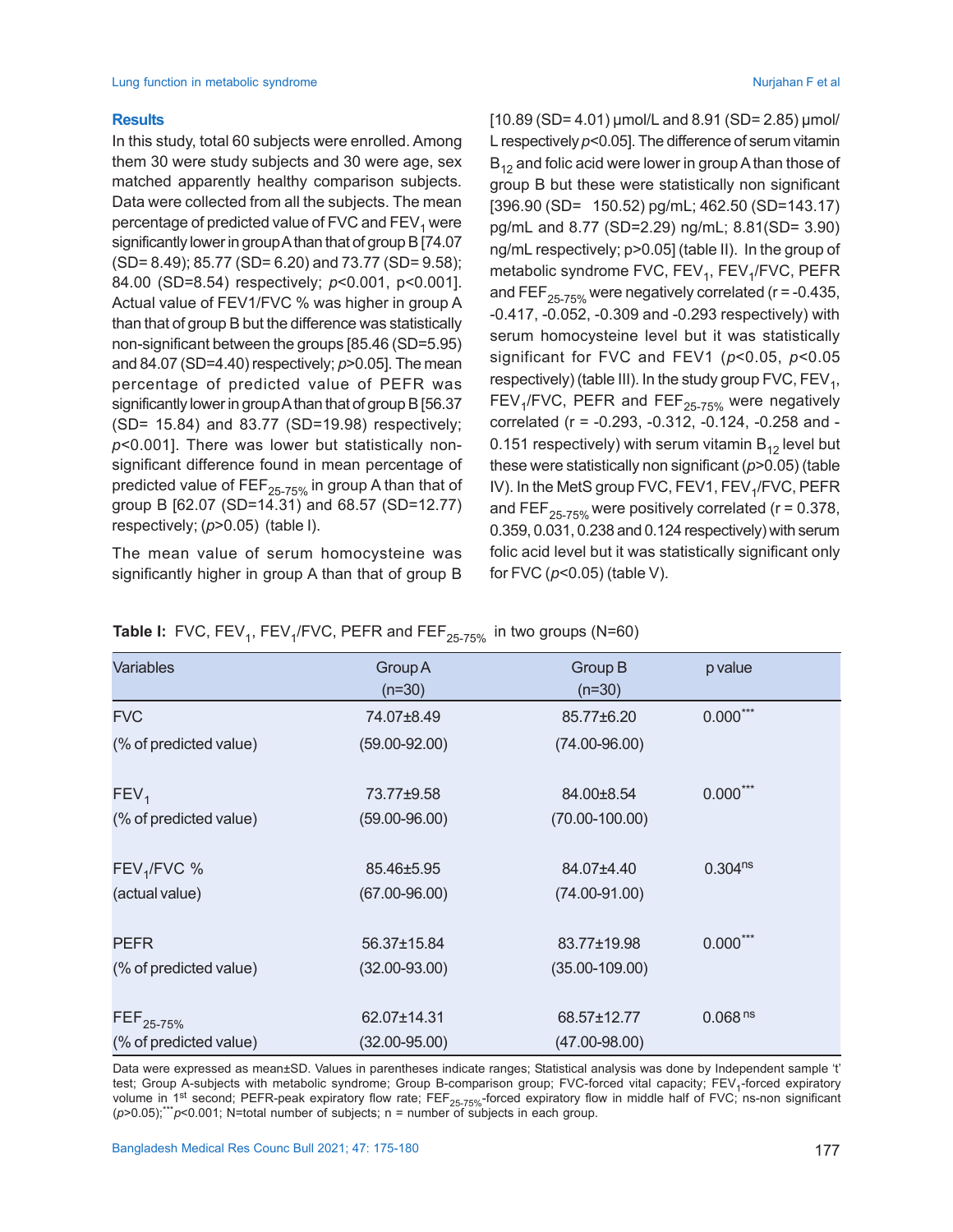#### **Results**

In this study, total 60 subjects were enrolled. Among them 30 were study subjects and 30 were age, sex matched apparently healthy comparison subjects. Data were collected from all the subjects. The mean percentage of predicted value of FVC and FEV<sub>1</sub> were significantly lower in group A than that of group B [74.07 (SD= 8.49); 85.77 (SD= 6.20) and 73.77 (SD= 9.58); 84.00 (SD=8.54) respectively; *p*<0.001, p<0.001]. Actual value of FEV1/FVC % was higher in group A than that of group B but the difference was statistically non-significant between the groups [85.46 (SD=5.95) and 84.07 (SD=4.40) respectively; *p*>0.05]. The mean percentage of predicted value of PEFR was significantly lower in group A than that of group B [56.37 (SD= 15.84) and 83.77 (SD=19.98) respectively; *p*<0.001]. There was lower but statistically nonsignificant difference found in mean percentage of predicted value of FEF<sub>25-75%</sub> in group A than that of group B [62.07 (SD=14.31) and 68.57 (SD=12.77) respectively; (*p*>0.05) (table I).

The mean value of serum homocysteine was significantly higher in group A than that of group B  $[10.89$  (SD= 4.01)  $\mu$ mol/L and 8.91 (SD= 2.85)  $\mu$ mol/ L respectively *p*<0.05]. The difference of serum vitamin  $B_{12}$  and folic acid were lower in group A than those of group B but these were statistically non significant [396.90 (SD= 150.52) pg/mL; 462.50 (SD=143.17) pg/mL and 8.77 (SD=2.29) ng/mL; 8.81(SD= 3.90) ng/mL respectively; p>0.05] (table II). In the group of metabolic syndrome FVC, FEV<sub>1</sub>, FEV<sub>1</sub>/FVC, PEFR and FEF<sub>25-75%</sub> were negatively correlated ( $r = -0.435$ , -0.417, -0.052, -0.309 and -0.293 respectively) with serum homocysteine level but it was statistically significant for FVC and FEV1 (*p*<0.05, *p*<0.05 respectively) (table III). In the study group FVC, FEV<sub>1</sub>, FEV<sub>1</sub>/FVC, PEFR and FEF<sub>25-75%</sub> were negatively correlated (r = -0.293, -0.312, -0.124, -0.258 and - 0.151 respectively) with serum vitamin  $B_{12}$  level but these were statistically non significant (*p*>0.05) (table IV). In the MetS group FVC, FEV1, FEV<sub>1</sub>/FVC, PEFR and FEF<sub>25-75%</sub> were positively correlated ( $r = 0.378$ , 0.359, 0.031, 0.238 and 0.124 respectively) with serum folic acid level but it was statistically significant only for FVC (*p*<0.05) (table V).

| <b>Variables</b>       | Group A           | Group B            | p value             |
|------------------------|-------------------|--------------------|---------------------|
|                        | $(n=30)$          | $(n=30)$           |                     |
|                        |                   |                    |                     |
| <b>FVC</b>             | 74.07±8.49        | 85.77±6.20         | $0.000***$          |
| (% of predicted value) | $(59.00 - 92.00)$ | $(74.00 - 96.00)$  |                     |
|                        |                   |                    |                     |
| FEV <sub>1</sub>       | 73.77±9.58        | 84.00±8.54         | $0.000***$          |
| (% of predicted value) | $(59.00 - 96.00)$ | $(70.00 - 100.00)$ |                     |
|                        |                   |                    |                     |
| $FEV1/FVC$ %           | 85.46±5.95        | 84.07±4.40         | 0.304 <sup>ns</sup> |
| (actual value)         | $(67.00 - 96.00)$ | $(74.00 - 91.00)$  |                     |
|                        |                   |                    |                     |
| <b>PEFR</b>            | 56.37±15.84       | 83.77±19.98        | $0.000***$          |
|                        |                   |                    |                     |
| (% of predicted value) | $(32.00 - 93.00)$ | $(35.00 - 109.00)$ |                     |
|                        |                   |                    |                     |
| FEF <sub>25-75%</sub>  | 62.07±14.31       | 68.57±12.77        | 0.068 <sup>ns</sup> |
| (% of predicted value) | $(32.00 - 95.00)$ | $(47.00 - 98.00)$  |                     |

|  |  | <b>Table I:</b> FVC, FEV <sub>1</sub> , FEV <sub>1</sub> /FVC, PEFR and FEF <sub>25-75%</sub> in two groups (N=60) |  |
|--|--|--------------------------------------------------------------------------------------------------------------------|--|
|--|--|--------------------------------------------------------------------------------------------------------------------|--|

Data were expressed as mean±SD. Values in parentheses indicate ranges; Statistical analysis was done by Independent sample 't' test; Group A-subjects with metabolic syndrome; Group B-comparison group; FVC-forced vital capacity; FEV<sub>1</sub>-forced expiratory volume in 1<sup>st</sup> second; PEFR-peak expiratory flow rate; FEF<sub>25-75%</sub>-forced expiratory flow in middle half of FVC; ns-non significant (*p*>0.05);\*\*\**p*<0.001; N=total number of subjects; n = number of subjects in each group.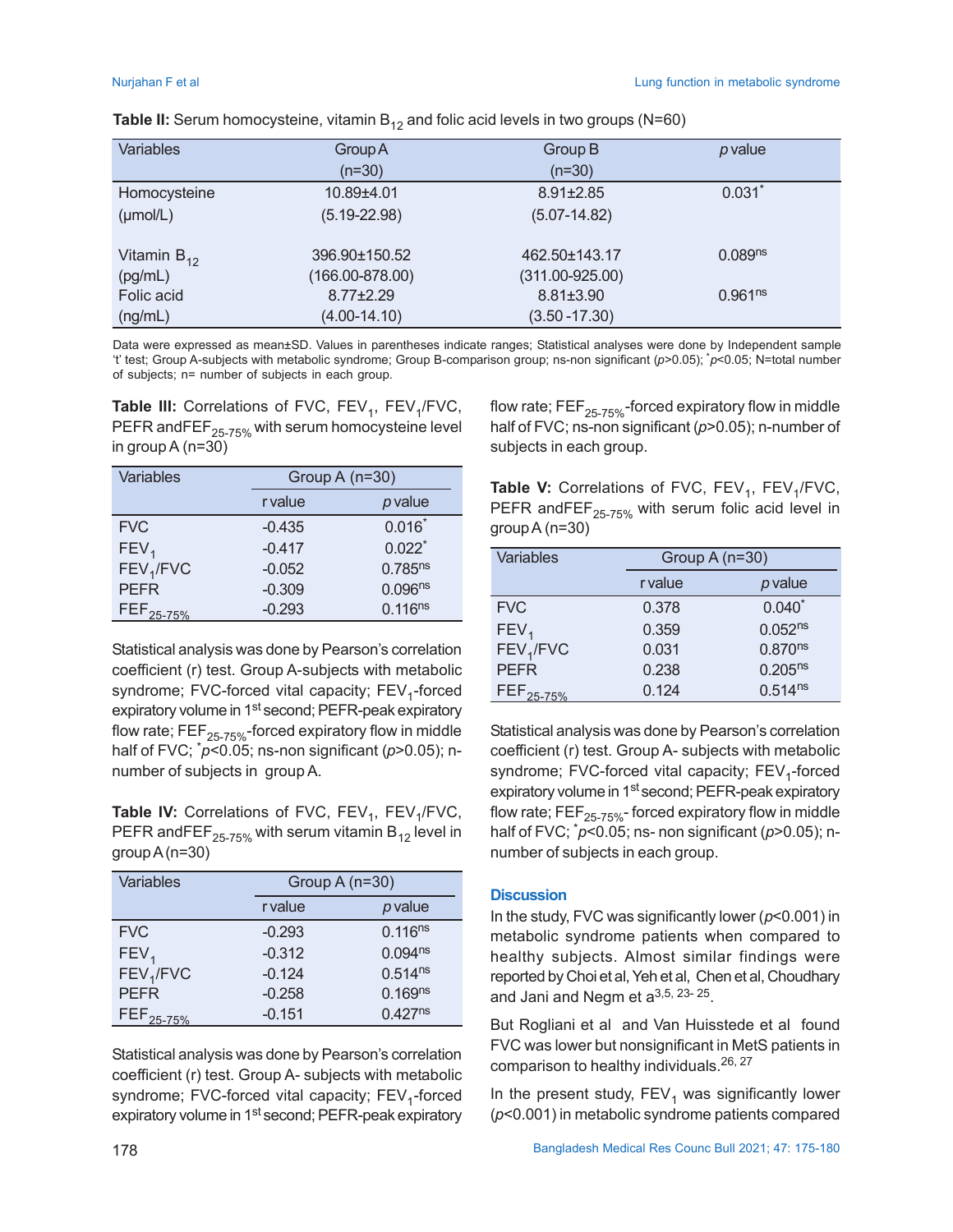| <b>Variables</b>     | Group A             | Group B             | p value             |
|----------------------|---------------------|---------------------|---------------------|
|                      | $(n=30)$            | $(n=30)$            |                     |
| Homocysteine         | 10.89±4.01          | $8.91 \pm 2.85$     | $0.031$ *           |
| $(\mu \text{mol/L})$ | $(5.19 - 22.98)$    | $(5.07 - 14.82)$    |                     |
|                      |                     |                     |                     |
| Vitamin $B_{12}$     | 396.90±150.52       | 462.50±143.17       | 0.089 <sup>ns</sup> |
| (pg/mL)              | $(166.00 - 878.00)$ | $(311.00 - 925.00)$ |                     |
| Folic acid           | $8.77 \pm 2.29$     | $8.81 \pm 3.90$     | 0.961 <sup>ns</sup> |
| (ng/mL)              | $(4.00 - 14.10)$    | $(3.50 - 17.30)$    |                     |
|                      |                     |                     |                     |

**Table II:** Serum homocysteine, vitamin  $B_{12}$  and folic acid levels in two groups (N=60)

Data were expressed as mean±SD. Values in parentheses indicate ranges; Statistical analyses were done by Independent sample 't' test; Group A-subjects with metabolic syndrome; Group B-comparison group; ns-non significant (*p*>0.05); \**p*<0.05; N=total number of subjects; n= number of subjects in each group.

**Table III:** Correlations of FVC,  $\mathsf{FEV}_1$ ,  $\mathsf{FEV}_1\mathsf{/FVC},$ PEFR and FEF $_{25-75\%}$  with serum homocysteine level in group A (n=30)

| Variables             | Group A $(n=30)$ |                      |
|-----------------------|------------------|----------------------|
|                       | r value          | p value              |
| <b>FVC</b>            | $-0.435$         | $0.016*$             |
| FEV <sub>1</sub>      | $-0.417$         | $0.022$ <sup>*</sup> |
| FEV <sub>1</sub> /FVC | $-0.052$         | 0.785 <sup>ns</sup>  |
| <b>PEFR</b>           | $-0.309$         | 0.096 <sup>ns</sup>  |
| FEF <sub>25-75%</sub> | $-0.293$         | $0.116^{ns}$         |

Statistical analysis was done by Pearson's correlation coefficient (r) test. Group A-subjects with metabolic syndrome; FVC-forced vital capacity; FEV<sub>1</sub>-forced expiratory volume in 1<sup>st</sup> second; PEFR-peak expiratory flow rate;  $\overline{FEF}_{25\text{-}75\%}$ -forced expiratory flow in middle half of FVC; \**p*<0.05; ns-non significant (*p*>0.05); nnumber of subjects in group A.

**Table IV:** Correlations of FVC, FEV<sub>1</sub>, FEV<sub>1</sub>/FVC, PEFR and FEF<sub>25-75%</sub> with serum vitamin  $B_{12}$  level in group A (n=30)

| Variables             | Group A $(n=30)$ |                     |
|-----------------------|------------------|---------------------|
|                       | r value          | p value             |
| <b>FVC</b>            | $-0.293$         | $0.116^{ns}$        |
| FEV <sub>1</sub>      | $-0.312$         | 0.094 <sup>ns</sup> |
| FEV <sub>1</sub> /FVC | $-0.124$         | $0.514^{ns}$        |
| <b>PEFR</b>           | $-0.258$         | 0.169 <sup>ns</sup> |
| FEF <sub>25-75%</sub> | $-0.151$         | $0.427^{ns}$        |

Statistical analysis was done by Pearson's correlation coefficient (r) test. Group A- subjects with metabolic syndrome; FVC-forced vital capacity; FEV<sub>1</sub>-forced expiratory volume in 1<sup>st</sup> second; PEFR-peak expiratory flow rate;  $\mathsf{FEF}_{25\text{-}75\%}$ -forced expiratory flow in middle half of FVC; ns-non significant (*p*>0.05); n-number of subjects in each group.

**Table V:** Correlations of FVC,  $\mathsf{FEV}_1$ ,  $\mathsf{FEV}_1\mathsf{/FVC},$ PEFR andFEF $_{25-75\%}$  with serum folic acid level in group A (n=30)

| Variables             | Group A (n=30) |                     |
|-----------------------|----------------|---------------------|
|                       | r value        | p value             |
| <b>FVC</b>            | 0.378          | $0.040*$            |
| FEV <sub>1</sub>      | 0.359          | 0.052 <sup>ns</sup> |
| FEV <sub>1</sub> /FVC | 0.031          | $0.870^{ns}$        |
| <b>PEFR</b>           | 0.238          | $0.205^{ns}$        |
| FEF <sub>25-75%</sub> | 0.124          | $0.514^{ns}$        |

Statistical analysis was done by Pearson's correlation coefficient (r) test. Group A- subjects with metabolic syndrome; FVC-forced vital capacity; FEV<sub>1</sub>-forced expiratory volume in 1<sup>st</sup> second; PEFR-peak expiratory flow rate;  $FEF_{25-75\%}$ - forced expiratory flow in middle half of FVC; \**p*<0.05; ns- non significant (*p*>0.05); nnumber of subjects in each group.

#### **Discussion**

In the study, FVC was significantly lower (*p*<0.001) in metabolic syndrome patients when compared to healthy subjects. Almost similar findings were reported by Choi et al, Yeh et al, Chen et al, Choudhary and Jani and Negm et a $3,5,23$ - $25$ .

But Rogliani et al and Van Huisstede et al found FVC was lower but nonsignificant in MetS patients in comparison to healthy individuals.<sup>26, 27</sup>

In the present study,  $\mathsf{FEV}_1$  was significantly lower (*p*<0.001) in metabolic syndrome patients compared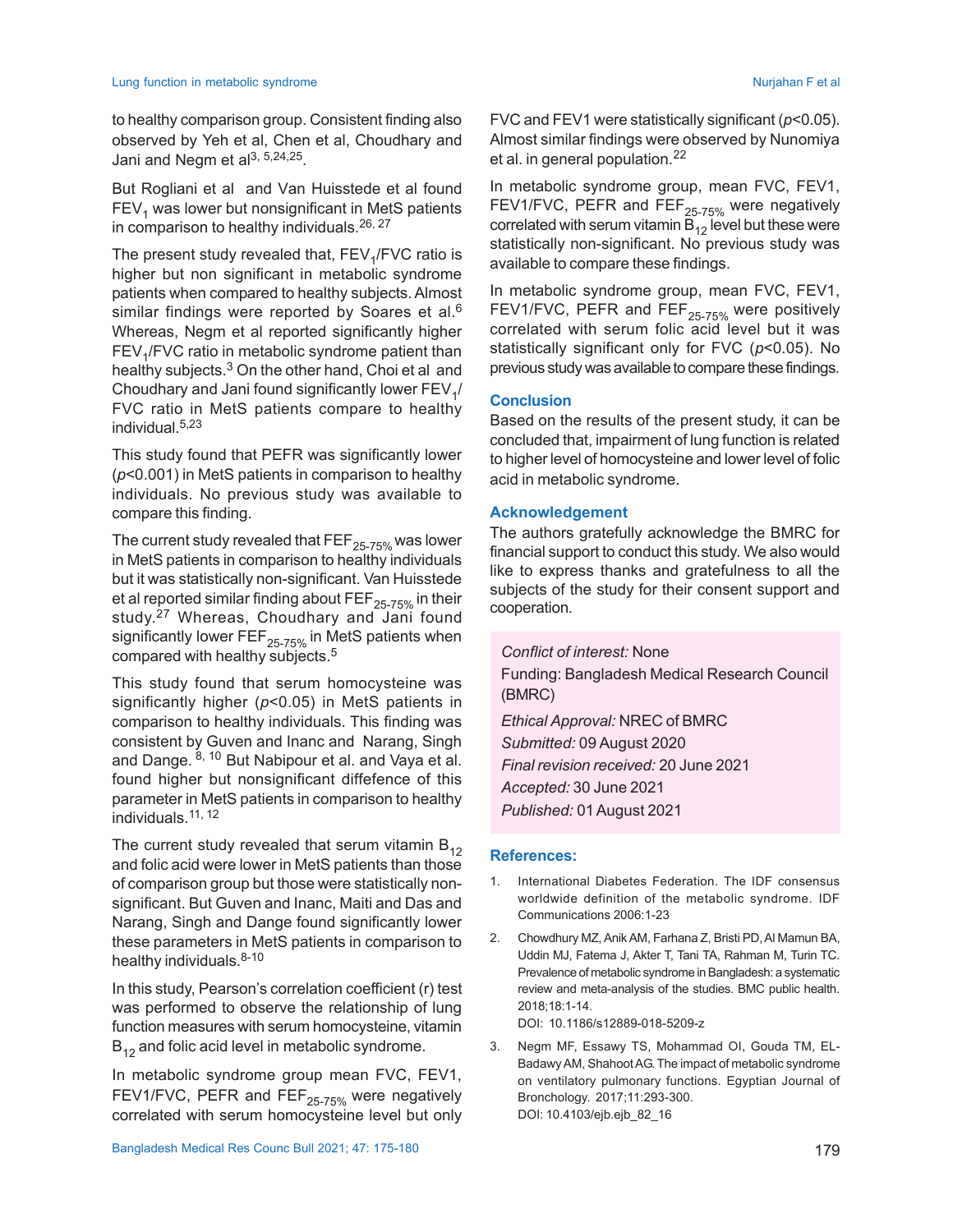to healthy comparison group. Consistent finding also observed by Yeh et al, Chen et al, Choudhary and Jani and Negm et al $^{3,5,24,25}$ .

But Rogliani et al and Van Huisstede et al found  $\mathsf{FEV}_1$  was lower but nonsignificant in MetS patients in comparison to healthy individuals.<sup>26, 27</sup>

The present study revealed that,  $\mathsf{FEV}_\mathsf{1}/\mathsf{FVC}$  ratio is higher but non significant in metabolic syndrome patients when compared to healthy subjects. Almost similar findings were reported by Soares et al.<sup>6</sup> Whereas, Negm et al reported significantly higher  $\mathsf{FEV}_1\mathsf{/FVC}$  ratio in metabolic syndrome patient than healthy subjects.<sup>3</sup> On the other hand, Choi et al and Choudhary and Jani found significantly lower  $\mathsf{FEV}_{\mathfrak{q}}/$ FVC ratio in MetS patients compare to healthy individual.5,23

This study found that PEFR was significantly lower (*p*<0.001) in MetS patients in comparison to healthy individuals. No previous study was available to compare this finding.

The current study revealed that  $\text{FEF}_{25\text{-}75\%}$  was lower in MetS patients in comparison to healthy individuals but it was statistically non-significant. Van Huisstede et al reported similar finding about  $\text{FEF}_{25\text{-}75\%}$  in their study. <sup>27</sup> Whereas, Choudhary and Jani found significantly lower FEF $_{25-75\%}$  in MetS patients when compared with healthy subjects.<sup>5</sup>

This study found that serum homocysteine was significantly higher (*p*<0.05) in MetS patients in comparison to healthy individuals. This finding was consistent by Guven and Inanc and Narang, Singh and Dange. 8, 10 But Nabipour et al. and Vaya et al. found higher but nonsignificant diffefence of this parameter in MetS patients in comparison to healthy individuals.11, 12

The current study revealed that serum vitamin  $B_{12}$ and folic acid were lower in MetS patients than those of comparison group but those were statistically nonsignificant. But Guven and Inanc, Maiti and Das and Narang, Singh and Dange found significantly lower these parameters in MetS patients in comparison to healthy individuals. $8-10$ 

In this study, Pearson's correlation coefficient (r) test was performed to observe the relationship of lung function measures with serum homocysteine, vitamin  $B_{12}$  and folic acid level in metabolic syndrome.

In metabolic syndrome group mean FVC, FEV1, FEV1/FVC, PEFR and FEF<sub>25-75%</sub> were negatively correlated with serum homocysteine level but only FVC and FEV1 were statistically significant (*p*<0.05). Almost similar findings were observed by Nunomiya et al. in general population.<sup>22</sup>

In metabolic syndrome group, mean FVC, FEV1, FEV1/FVC, PEFR and FEF<sub>25-75%</sub> were negatively correlated with serum vitamin  $\overline{B}_{12}$  level but these were statistically non-significant. No previous study was available to compare these findings.

In metabolic syndrome group, mean FVC, FEV1, FEV1/FVC, PEFR and FEF<sub>25-75%</sub> were positively correlated with serum folic acid level but it was statistically significant only for FVC (*p*<0.05). No previous study was available to compare these findings.

### **Conclusion**

Based on the results of the present study, it can be concluded that, impairment of lung function is related to higher level of homocysteine and lower level of folic acid in metabolic syndrome.

#### **Acknowledgement**

The authors gratefully acknowledge the BMRC for financial support to conduct this study. We also would like to express thanks and gratefulness to all the subjects of the study for their consent support and cooperation.

*Conflict of interest:* None Funding: Bangladesh Medical Research Council (BMRC) *Ethical Approval:* NREC of BMRC *Submitted:* 09 August 2020 *Final revision received:* 20 June 2021 *Accepted:* 30 June 2021

*Published:* 01August 2021

#### **References:**

- 1. International Diabetes Federation. The IDF consensus worldwide definition of the metabolic syndrome. IDF Communications 2006:1-23
- 2. Chowdhury MZ, Anik AM, Farhana Z, Bristi PD, Al Mamun BA, Uddin MJ, Fatema J, Akter T, Tani TA, Rahman M, Turin TC. Prevalence of metabolic syndrome in Bangladesh: a systematic review and meta-analysis of the studies. BMC public health. 2018;18:1-14. DOI: 10.1186/s12889-018-5209-z
- 3. Negm MF, Essawy TS, Mohammad OI, Gouda TM, EL-Badawy AM, Shahoot AG. The impact of metabolic syndrome on ventilatory pulmonary functions. Egyptian Journal of Bronchology. 2017;11:293-300. DOI: 10.4103/ejb.ejb\_82\_16